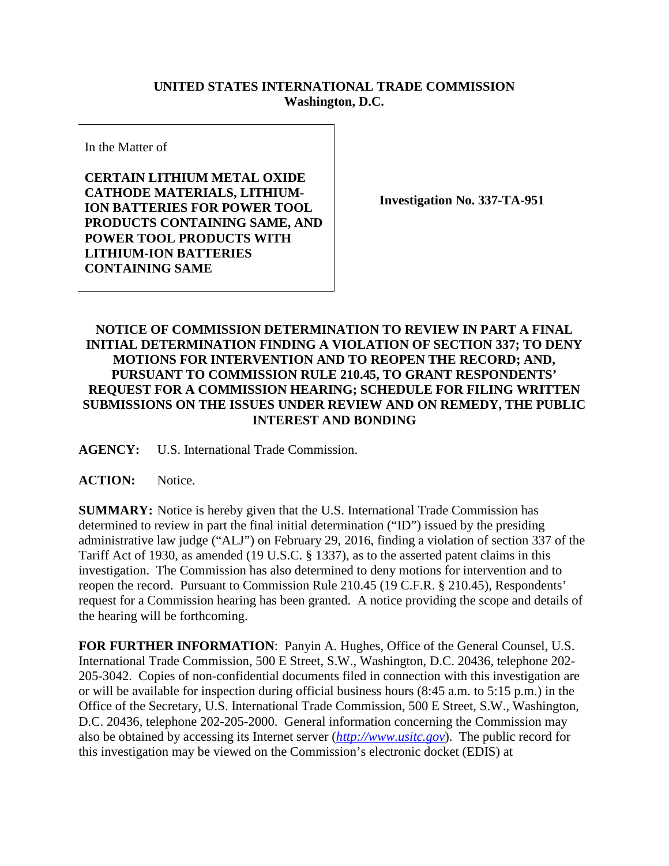## **UNITED STATES INTERNATIONAL TRADE COMMISSION Washington, D.C.**

In the Matter of

**CERTAIN LITHIUM METAL OXIDE CATHODE MATERIALS, LITHIUM-ION BATTERIES FOR POWER TOOL PRODUCTS CONTAINING SAME, AND POWER TOOL PRODUCTS WITH LITHIUM-ION BATTERIES CONTAINING SAME**

**Investigation No. 337-TA-951**

## **NOTICE OF COMMISSION DETERMINATION TO REVIEW IN PART A FINAL INITIAL DETERMINATION FINDING A VIOLATION OF SECTION 337; TO DENY MOTIONS FOR INTERVENTION AND TO REOPEN THE RECORD; AND, PURSUANT TO COMMISSION RULE 210.45, TO GRANT RESPONDENTS' REQUEST FOR A COMMISSION HEARING; SCHEDULE FOR FILING WRITTEN SUBMISSIONS ON THE ISSUES UNDER REVIEW AND ON REMEDY, THE PUBLIC INTEREST AND BONDING**

**AGENCY:** U.S. International Trade Commission.

## ACTION: Notice.

**SUMMARY:** Notice is hereby given that the U.S. International Trade Commission has determined to review in part the final initial determination ("ID") issued by the presiding administrative law judge ("ALJ") on February 29, 2016, finding a violation of section 337 of the Tariff Act of 1930, as amended (19 U.S.C. § 1337), as to the asserted patent claims in this investigation. The Commission has also determined to deny motions for intervention and to reopen the record. Pursuant to Commission Rule 210.45 (19 C.F.R. § 210.45), Respondents' request for a Commission hearing has been granted. A notice providing the scope and details of the hearing will be forthcoming.

**FOR FURTHER INFORMATION**: Panyin A. Hughes, Office of the General Counsel, U.S. International Trade Commission, 500 E Street, S.W., Washington, D.C. 20436, telephone 202- 205-3042. Copies of non-confidential documents filed in connection with this investigation are or will be available for inspection during official business hours (8:45 a.m. to 5:15 p.m.) in the Office of the Secretary, U.S. International Trade Commission, 500 E Street, S.W., Washington, D.C. 20436, telephone 202-205-2000. General information concerning the Commission may also be obtained by accessing its Internet server (*[http://www.usitc.gov](http://www.usitc.gov/)*). The public record for this investigation may be viewed on the Commission's electronic docket (EDIS) at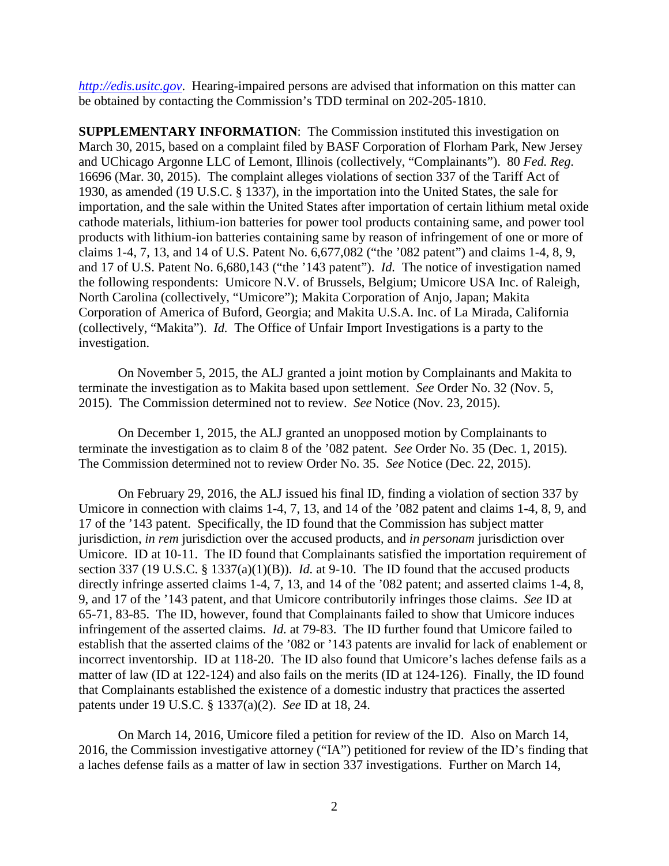*[http://edis.usitc.gov](http://edis.usitc.gov/)*. Hearing-impaired persons are advised that information on this matter can be obtained by contacting the Commission's TDD terminal on 202-205-1810.

**SUPPLEMENTARY INFORMATION**: The Commission instituted this investigation on March 30, 2015, based on a complaint filed by BASF Corporation of Florham Park, New Jersey and UChicago Argonne LLC of Lemont, Illinois (collectively, "Complainants"). 80 *Fed. Reg.*  16696 (Mar. 30, 2015). The complaint alleges violations of section 337 of the Tariff Act of 1930, as amended (19 U.S.C. § 1337), in the importation into the United States, the sale for importation, and the sale within the United States after importation of certain lithium metal oxide cathode materials, lithium-ion batteries for power tool products containing same, and power tool products with lithium-ion batteries containing same by reason of infringement of one or more of claims 1-4, 7, 13, and 14 of U.S. Patent No. 6,677,082 ("the '082 patent") and claims 1-4, 8, 9, and 17 of U.S. Patent No. 6,680,143 ("the '143 patent"). *Id.* The notice of investigation named the following respondents: Umicore N.V. of Brussels, Belgium; Umicore USA Inc. of Raleigh, North Carolina (collectively, "Umicore"); Makita Corporation of Anjo, Japan; Makita Corporation of America of Buford, Georgia; and Makita U.S.A. Inc. of La Mirada, California (collectively, "Makita"). *Id.* The Office of Unfair Import Investigations is a party to the investigation.

On November 5, 2015, the ALJ granted a joint motion by Complainants and Makita to terminate the investigation as to Makita based upon settlement. *See* Order No. 32 (Nov. 5, 2015). The Commission determined not to review. *See* Notice (Nov. 23, 2015).

On December 1, 2015, the ALJ granted an unopposed motion by Complainants to terminate the investigation as to claim 8 of the '082 patent. *See* Order No. 35 (Dec. 1, 2015). The Commission determined not to review Order No. 35. *See* Notice (Dec. 22, 2015).

On February 29, 2016, the ALJ issued his final ID, finding a violation of section 337 by Umicore in connection with claims 1-4, 7, 13, and 14 of the '082 patent and claims 1-4, 8, 9, and 17 of the '143 patent. Specifically, the ID found that the Commission has subject matter jurisdiction, *in rem* jurisdiction over the accused products, and *in personam* jurisdiction over Umicore. ID at 10-11. The ID found that Complainants satisfied the importation requirement of section 337 (19 U.S.C. § 1337(a)(1)(B)). *Id.* at 9-10. The ID found that the accused products directly infringe asserted claims 1-4, 7, 13, and 14 of the '082 patent; and asserted claims 1-4, 8, 9, and 17 of the '143 patent, and that Umicore contributorily infringes those claims. *See* ID at 65-71, 83-85. The ID, however, found that Complainants failed to show that Umicore induces infringement of the asserted claims. *Id.* at 79-83. The ID further found that Umicore failed to establish that the asserted claims of the '082 or '143 patents are invalid for lack of enablement or incorrect inventorship. ID at 118-20. The ID also found that Umicore's laches defense fails as a matter of law (ID at 122-124) and also fails on the merits (ID at 124-126). Finally, the ID found that Complainants established the existence of a domestic industry that practices the asserted patents under 19 U.S.C. § 1337(a)(2). *See* ID at 18, 24.

On March 14, 2016, Umicore filed a petition for review of the ID. Also on March 14, 2016, the Commission investigative attorney ("IA") petitioned for review of the ID's finding that a laches defense fails as a matter of law in section 337 investigations. Further on March 14,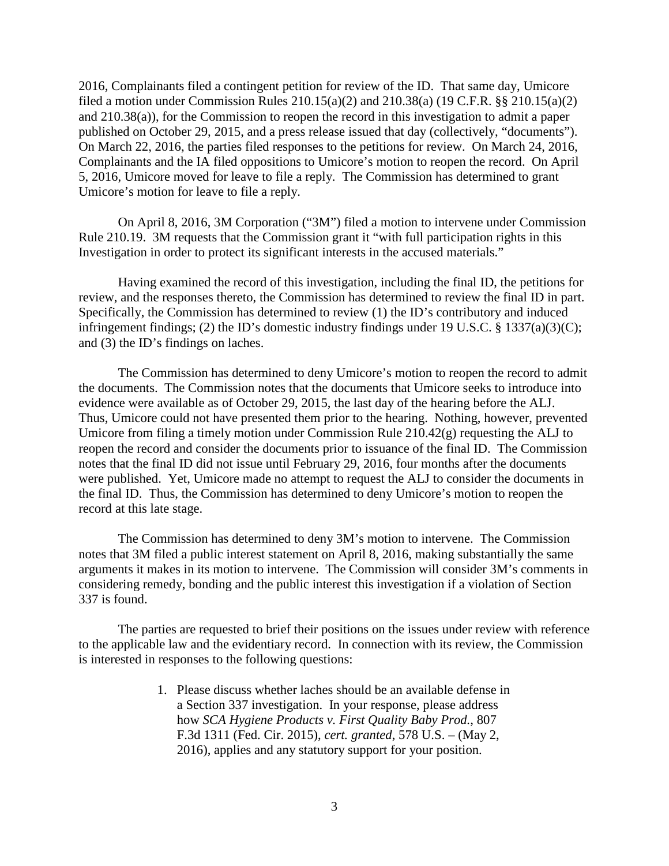2016, Complainants filed a contingent petition for review of the ID. That same day, Umicore filed a motion under Commission Rules 210.15(a)(2) and 210.38(a) (19 C.F.R. §§ 210.15(a)(2) and 210.38(a)), for the Commission to reopen the record in this investigation to admit a paper published on October 29, 2015, and a press release issued that day (collectively, "documents"). On March 22, 2016, the parties filed responses to the petitions for review. On March 24, 2016, Complainants and the IA filed oppositions to Umicore's motion to reopen the record. On April 5, 2016, Umicore moved for leave to file a reply. The Commission has determined to grant Umicore's motion for leave to file a reply.

On April 8, 2016, 3M Corporation ("3M") filed a motion to intervene under Commission Rule 210.19. 3M requests that the Commission grant it "with full participation rights in this Investigation in order to protect its significant interests in the accused materials."

Having examined the record of this investigation, including the final ID, the petitions for review, and the responses thereto, the Commission has determined to review the final ID in part. Specifically, the Commission has determined to review (1) the ID's contributory and induced infringement findings; (2) the ID's domestic industry findings under 19 U.S.C. § 1337(a)(3)(C); and (3) the ID's findings on laches.

The Commission has determined to deny Umicore's motion to reopen the record to admit the documents. The Commission notes that the documents that Umicore seeks to introduce into evidence were available as of October 29, 2015, the last day of the hearing before the ALJ. Thus, Umicore could not have presented them prior to the hearing. Nothing, however, prevented Umicore from filing a timely motion under Commission Rule 210.42(g) requesting the ALJ to reopen the record and consider the documents prior to issuance of the final ID. The Commission notes that the final ID did not issue until February 29, 2016, four months after the documents were published. Yet, Umicore made no attempt to request the ALJ to consider the documents in the final ID. Thus, the Commission has determined to deny Umicore's motion to reopen the record at this late stage.

The Commission has determined to deny 3M's motion to intervene. The Commission notes that 3M filed a public interest statement on April 8, 2016, making substantially the same arguments it makes in its motion to intervene. The Commission will consider 3M's comments in considering remedy, bonding and the public interest this investigation if a violation of Section 337 is found.

The parties are requested to brief their positions on the issues under review with reference to the applicable law and the evidentiary record. In connection with its review, the Commission is interested in responses to the following questions:

> 1. Please discuss whether laches should be an available defense in a Section 337 investigation. In your response, please address how *SCA Hygiene Products v. First Quality Baby Prod.*, 807 F.3d 1311 (Fed. Cir. 2015), *cert. granted*, 578 U.S. – (May 2, 2016), applies and any statutory support for your position.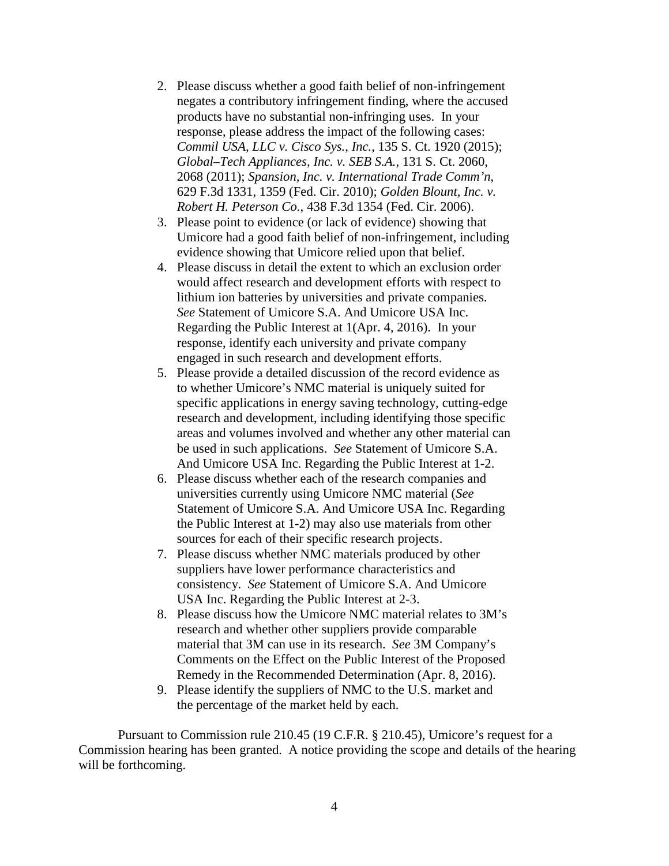- 2. Please discuss whether a good faith belief of non-infringement negates a contributory infringement finding, where the accused products have no substantial non-infringing uses. In your response, please address the impact of the following cases: *Commil USA, LLC v. Cisco Sys., Inc.*, 135 S. Ct. 1920 (2015); *Global–Tech Appliances, Inc. v. SEB S.A.*, 131 S. Ct. 2060, 2068 (2011); *Spansion, Inc. v. International Trade Comm'n*, 629 F.3d 1331, 1359 (Fed. Cir. 2010); *Golden Blount, Inc. v. Robert H. Peterson Co.*, 438 F.3d 1354 (Fed. Cir. 2006).
- 3. Please point to evidence (or lack of evidence) showing that Umicore had a good faith belief of non-infringement, including evidence showing that Umicore relied upon that belief.
- 4. Please discuss in detail the extent to which an exclusion order would affect research and development efforts with respect to lithium ion batteries by universities and private companies. *See* Statement of Umicore S.A. And Umicore USA Inc. Regarding the Public Interest at 1(Apr. 4, 2016). In your response, identify each university and private company engaged in such research and development efforts.
- 5. Please provide a detailed discussion of the record evidence as to whether Umicore's NMC material is uniquely suited for specific applications in energy saving technology, cutting-edge research and development, including identifying those specific areas and volumes involved and whether any other material can be used in such applications. *See* Statement of Umicore S.A. And Umicore USA Inc. Regarding the Public Interest at 1-2.
- 6. Please discuss whether each of the research companies and universities currently using Umicore NMC material (*See* Statement of Umicore S.A. And Umicore USA Inc. Regarding the Public Interest at 1-2) may also use materials from other sources for each of their specific research projects.
- 7. Please discuss whether NMC materials produced by other suppliers have lower performance characteristics and consistency. *See* Statement of Umicore S.A. And Umicore USA Inc. Regarding the Public Interest at 2-3.
- 8. Please discuss how the Umicore NMC material relates to 3M's research and whether other suppliers provide comparable material that 3M can use in its research. *See* 3M Company's Comments on the Effect on the Public Interest of the Proposed Remedy in the Recommended Determination (Apr. 8, 2016).
- 9. Please identify the suppliers of NMC to the U.S. market and the percentage of the market held by each.

Pursuant to Commission rule 210.45 (19 C.F.R. § 210.45), Umicore's request for a Commission hearing has been granted. A notice providing the scope and details of the hearing will be forthcoming.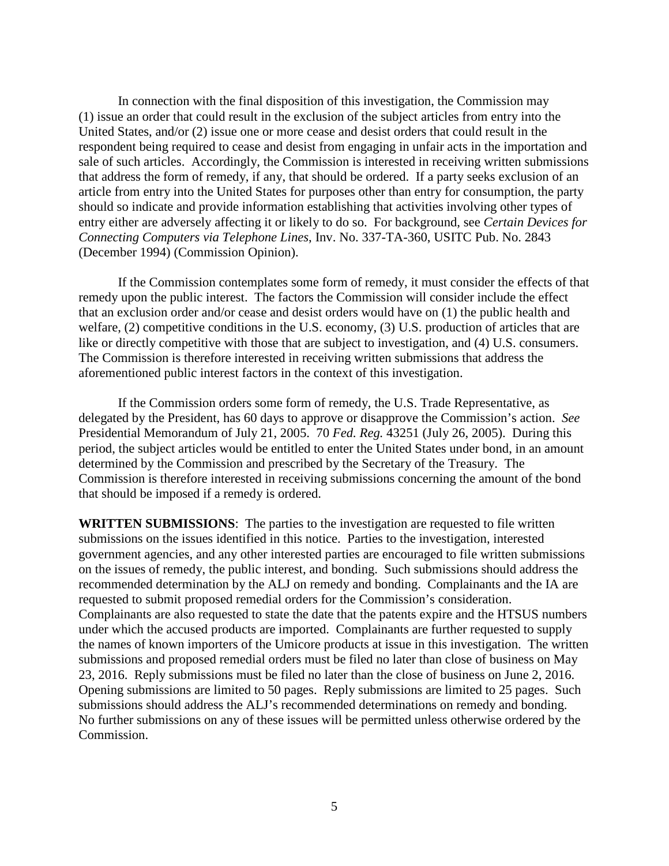In connection with the final disposition of this investigation, the Commission may (1) issue an order that could result in the exclusion of the subject articles from entry into the United States, and/or (2) issue one or more cease and desist orders that could result in the respondent being required to cease and desist from engaging in unfair acts in the importation and sale of such articles. Accordingly, the Commission is interested in receiving written submissions that address the form of remedy, if any, that should be ordered. If a party seeks exclusion of an article from entry into the United States for purposes other than entry for consumption, the party should so indicate and provide information establishing that activities involving other types of entry either are adversely affecting it or likely to do so. For background, see *Certain Devices for Connecting Computers via Telephone Lines*, Inv. No. 337-TA-360, USITC Pub. No. 2843 (December 1994) (Commission Opinion).

If the Commission contemplates some form of remedy, it must consider the effects of that remedy upon the public interest. The factors the Commission will consider include the effect that an exclusion order and/or cease and desist orders would have on (1) the public health and welfare, (2) competitive conditions in the U.S. economy, (3) U.S. production of articles that are like or directly competitive with those that are subject to investigation, and (4) U.S. consumers. The Commission is therefore interested in receiving written submissions that address the aforementioned public interest factors in the context of this investigation.

If the Commission orders some form of remedy, the U.S. Trade Representative, as delegated by the President, has 60 days to approve or disapprove the Commission's action. *See*  Presidential Memorandum of July 21, 2005. 70 *Fed. Reg.* 43251 (July 26, 2005). During this period, the subject articles would be entitled to enter the United States under bond, in an amount determined by the Commission and prescribed by the Secretary of the Treasury. The Commission is therefore interested in receiving submissions concerning the amount of the bond that should be imposed if a remedy is ordered.

**WRITTEN SUBMISSIONS**: The parties to the investigation are requested to file written submissions on the issues identified in this notice. Parties to the investigation, interested government agencies, and any other interested parties are encouraged to file written submissions on the issues of remedy, the public interest, and bonding. Such submissions should address the recommended determination by the ALJ on remedy and bonding. Complainants and the IA are requested to submit proposed remedial orders for the Commission's consideration. Complainants are also requested to state the date that the patents expire and the HTSUS numbers under which the accused products are imported. Complainants are further requested to supply the names of known importers of the Umicore products at issue in this investigation. The written submissions and proposed remedial orders must be filed no later than close of business on May 23, 2016. Reply submissions must be filed no later than the close of business on June 2, 2016. Opening submissions are limited to 50 pages. Reply submissions are limited to 25 pages. Such submissions should address the ALJ's recommended determinations on remedy and bonding. No further submissions on any of these issues will be permitted unless otherwise ordered by the Commission.